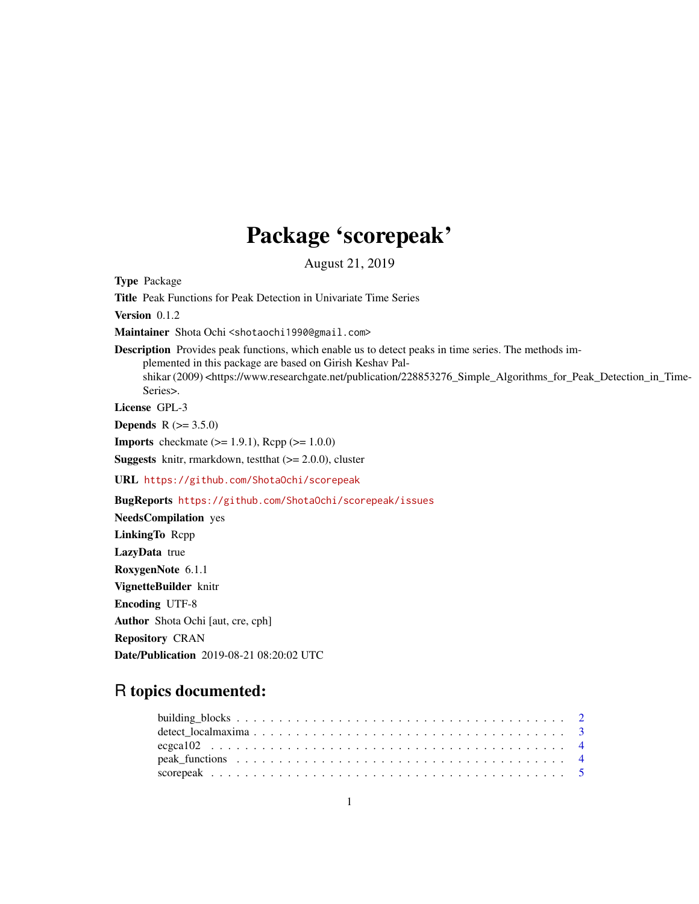## Package 'scorepeak'

August 21, 2019

Type Package Title Peak Functions for Peak Detection in Univariate Time Series Version 0.1.2

Maintainer Shota Ochi <shotaochi1990@gmail.com>

Description Provides peak functions, which enable us to detect peaks in time series. The methods implemented in this package are based on Girish Keshav Palshikar (2009) <https://www.researchgate.net/publication/228853276\_Simple\_Algorithms\_for\_Peak\_Detection\_in\_Time-Series>.

License GPL-3

**Depends**  $R (= 3.5.0)$ 

**Imports** checkmate  $(>= 1.9.1)$ , Rcpp  $(>= 1.0.0)$ 

**Suggests** knitr, rmarkdown, test that  $(>= 2.0.0)$ , cluster

URL <https://github.com/ShotaOchi/scorepeak>

BugReports <https://github.com/ShotaOchi/scorepeak/issues>

NeedsCompilation yes LinkingTo Rcpp LazyData true RoxygenNote 6.1.1 VignetteBuilder knitr Encoding UTF-8 Author Shota Ochi [aut, cre, cph] Repository CRAN Date/Publication 2019-08-21 08:20:02 UTC

### R topics documented: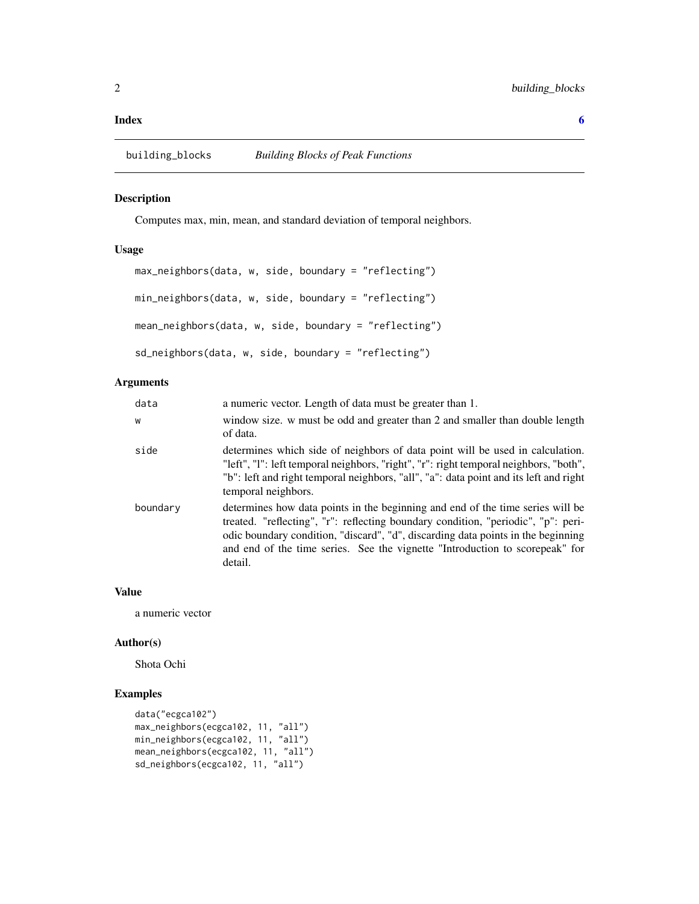#### <span id="page-1-0"></span>**Index** [6](#page-5-0) **6**

#### Description

Computes max, min, mean, and standard deviation of temporal neighbors.

#### Usage

```
max_neighbors(data, w, side, boundary = "reflecting")
min_neighbors(data, w, side, boundary = "reflecting")
mean_neighbors(data, w, side, boundary = "reflecting")
sd_neighbors(data, w, side, boundary = "reflecting")
```
#### Arguments

| data     | a numeric vector. Length of data must be greater than 1.                                                                                                                                                                                                                                                                                           |
|----------|----------------------------------------------------------------------------------------------------------------------------------------------------------------------------------------------------------------------------------------------------------------------------------------------------------------------------------------------------|
| W        | window size. w must be odd and greater than 2 and smaller than double length<br>of data.                                                                                                                                                                                                                                                           |
| side     | determines which side of neighbors of data point will be used in calculation.<br>"left", "l": left temporal neighbors, "right", "r": right temporal neighbors, "both",<br>"b": left and right temporal neighbors, "all", "a": data point and its left and right<br>temporal neighbors.                                                             |
| boundary | determines how data points in the beginning and end of the time series will be<br>treated. "reflecting", "r": reflecting boundary condition, "periodic", "p": peri-<br>odic boundary condition, "discard", "d", discarding data points in the beginning<br>and end of the time series. See the vignette "Introduction to scorepeak" for<br>detail. |

#### Value

a numeric vector

#### Author(s)

Shota Ochi

#### Examples

```
data("ecgca102")
max_neighbors(ecgca102, 11, "all")
min_neighbors(ecgca102, 11, "all")
mean_neighbors(ecgca102, 11, "all")
sd_neighbors(ecgca102, 11, "all")
```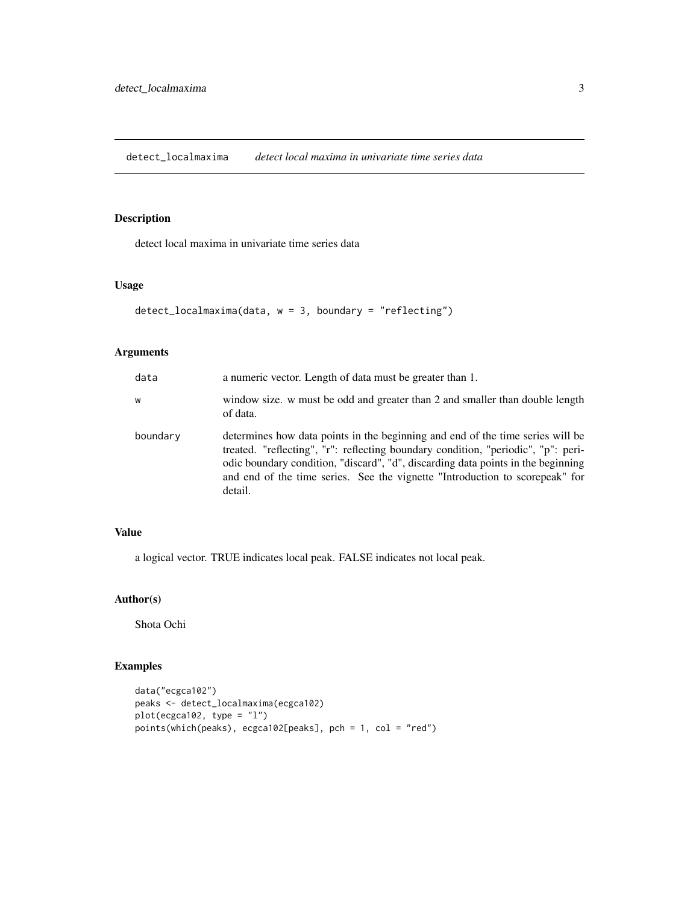<span id="page-2-0"></span>detect\_localmaxima *detect local maxima in univariate time series data*

#### Description

detect local maxima in univariate time series data

#### Usage

```
detect_localmaxima(data, w = 3, boundary = "reflecting")
```
#### Arguments

| data     | a numeric vector. Length of data must be greater than 1.                                                                                                                                                                                                                                                                                           |
|----------|----------------------------------------------------------------------------------------------------------------------------------------------------------------------------------------------------------------------------------------------------------------------------------------------------------------------------------------------------|
| W        | window size. w must be odd and greater than 2 and smaller than double length<br>of data.                                                                                                                                                                                                                                                           |
| boundary | determines how data points in the beginning and end of the time series will be<br>treated. "reflecting", "r": reflecting boundary condition, "periodic", "p": peri-<br>odic boundary condition, "discard", "d", discarding data points in the beginning<br>and end of the time series. See the vignette "Introduction to scorepeak" for<br>detail. |

#### Value

a logical vector. TRUE indicates local peak. FALSE indicates not local peak.

#### Author(s)

Shota Ochi

#### Examples

```
data("ecgca102")
peaks <- detect_localmaxima(ecgca102)
plot(ecgca102, type = "l")
points(which(peaks), ecgca102[peaks], pch = 1, col = "red")
```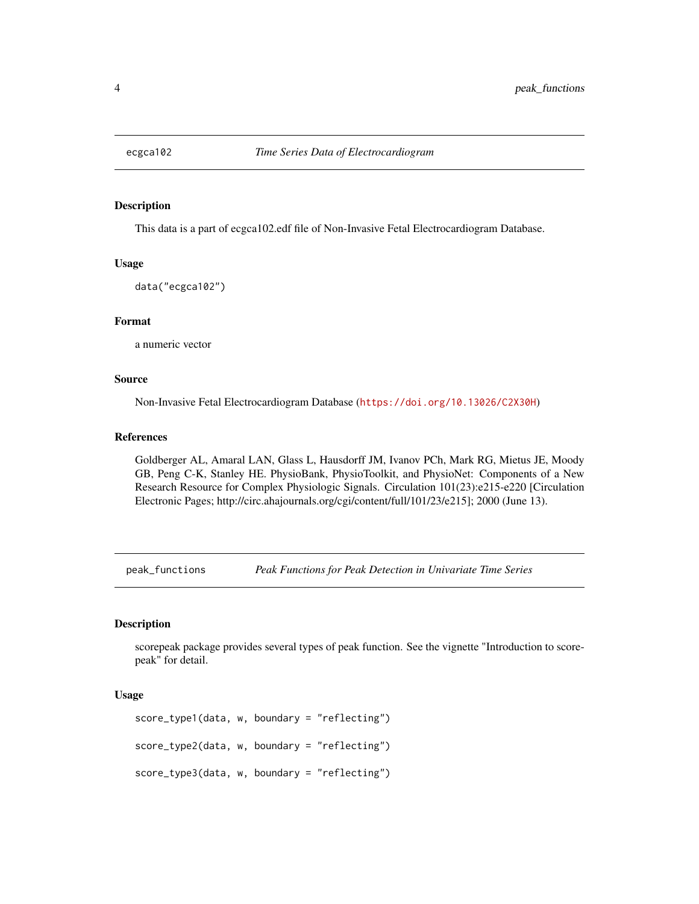<span id="page-3-0"></span>

#### Description

This data is a part of ecgca102.edf file of Non-Invasive Fetal Electrocardiogram Database.

#### Usage

data("ecgca102")

#### Format

a numeric vector

#### Source

Non-Invasive Fetal Electrocardiogram Database (<https://doi.org/10.13026/C2X30H>)

#### References

Goldberger AL, Amaral LAN, Glass L, Hausdorff JM, Ivanov PCh, Mark RG, Mietus JE, Moody GB, Peng C-K, Stanley HE. PhysioBank, PhysioToolkit, and PhysioNet: Components of a New Research Resource for Complex Physiologic Signals. Circulation 101(23):e215-e220 [Circulation Electronic Pages; http://circ.ahajournals.org/cgi/content/full/101/23/e215]; 2000 (June 13).

peak\_functions *Peak Functions for Peak Detection in Univariate Time Series*

#### Description

scorepeak package provides several types of peak function. See the vignette "Introduction to scorepeak" for detail.

#### Usage

```
score_type1(data, w, boundary = "reflecting")
score_type2(data, w, boundary = "reflecting")
score_type3(data, w, boundary = "reflecting")
```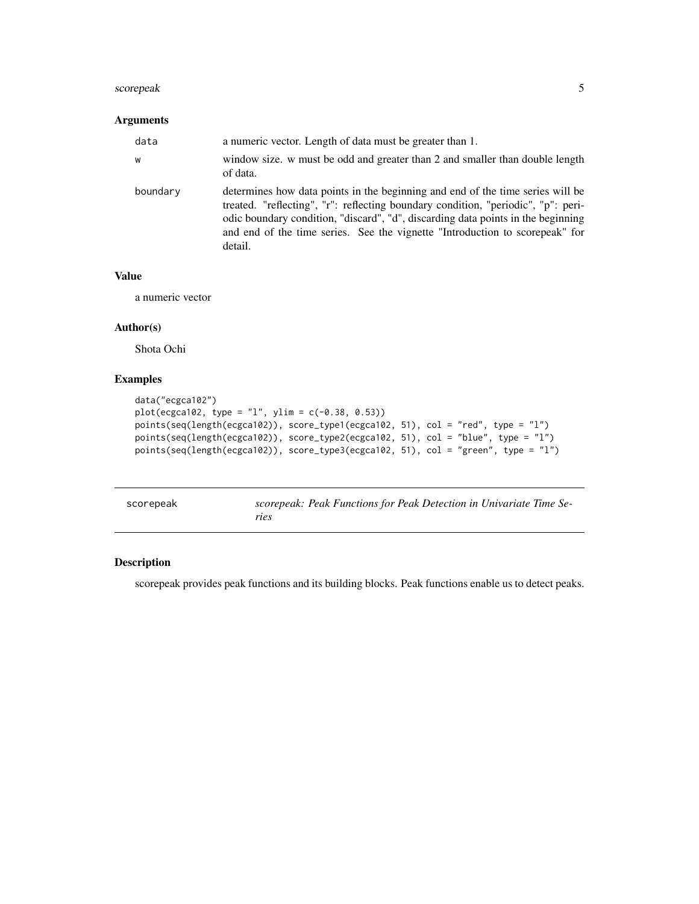#### <span id="page-4-0"></span>scorepeak 55 and 55 and 55 and 55 and 55 and 55 and 55 and 55 and 55 and 55 and 55 and 55 and 55 and 55 and 55

#### Arguments

| data     | a numeric vector. Length of data must be greater than 1.                                                                                                                                                                                                                                                                                           |
|----------|----------------------------------------------------------------------------------------------------------------------------------------------------------------------------------------------------------------------------------------------------------------------------------------------------------------------------------------------------|
| W        | window size. w must be odd and greater than 2 and smaller than double length<br>of data.                                                                                                                                                                                                                                                           |
| boundary | determines how data points in the beginning and end of the time series will be<br>treated. "reflecting", "r": reflecting boundary condition, "periodic", "p": peri-<br>odic boundary condition, "discard", "d", discarding data points in the beginning<br>and end of the time series. See the vignette "Introduction to scorepeak" for<br>detail. |

#### Value

a numeric vector

#### Author(s)

Shota Ochi

#### Examples

```
data("ecgca102")
plot(ecgca102, type = "l", ylim = c(-0.38, 0.53))
points(seq(length(ecgca102)), score_type1(ecgca102, 51), col = "red", type = "l")
points(seq(length(ecgca102)), score_type2(ecgca102, 51), col = "blue", type = "l")
points(seq(length(ecgca102)), score_type3(ecgca102, 51), col = "green", type = "l")
```

| scorepeak | scorepeak: Peak Functions for Peak Detection in Univariate Time Se- |
|-----------|---------------------------------------------------------------------|
|           | ries                                                                |

#### Description

scorepeak provides peak functions and its building blocks. Peak functions enable us to detect peaks.